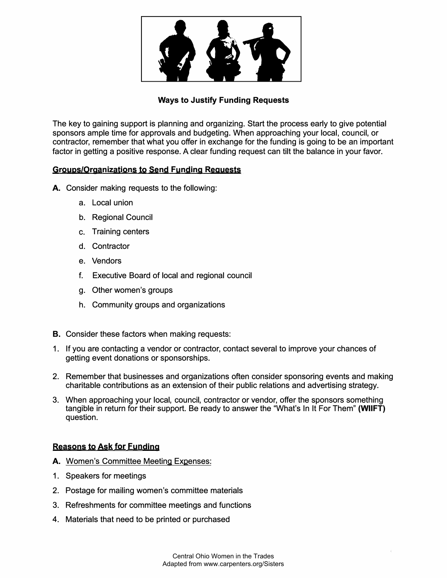

# **Ways to Justify Funding Requests**

The key to gaining support is planning and organizing. Start the process early to give potential sponsors ample time for approvals and budgeting. When approaching your local, council, or contractor, remember that what you offer in exchange for the funding is going to be an important factor in getting a positive response. A clear funding request can tilt the balance in your favor.

### **Groups/Organizations to Send Funding Requests**

- **A.** Consider making requests to the following:
	- a. Local union
	- b. Regional Council
	- **C.** Training centers
	- d. Contractor
	- e. Vendors
	- f. Executive Board of local and regional council
	- g. Other women's groups
	- h. Community groups and organizations
- **B.** Consider these factors when making requests:
- 1. If you are contacting a vendor or contractor, contact several to improve your chances of getting event donations or sponsorships.
- 2. Remember that businesses and organizations often consider sponsoring events and making charitable contributions as an extension of their public relations and advertising strategy.
- 3. When approaching your local, council, contractor or vendor, offer the sponsors something tangible in return for their support. Be ready to answer the "What's In It For Them" **(WIIFT)** question.

# **Reasons to Ask tor Funding**

- A. Women's Committee Meeting Expenses:
- 1. Speakers for meetings
- 2. Postage for mailing women's committee materials
- 3. Refreshments for committee meetings and functions
- 4. Materials that need to be printed or purchased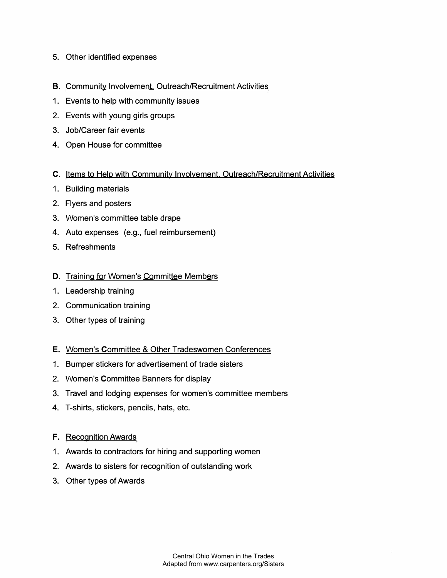- 5. Other identified expenses
- B. Community Involvement. Outreach/Recruitment Activities
- 1. Events to help with community issues
- 2. Events with young girls groups
- 3. Job/Career fair events
- 4. Open House for committee
- C. Items to Help with Community Involvement. Outreach/Recruitment Activities
- 1. Building materials
- 2. Flyers and posters
- 3. Women's committee table drape
- 4. Auto expenses (e.g., fuel reimbursement)
- 5. Refreshments

#### D. Training for Women's Committee Members

- 1. Leadership training
- 2. Communication training
- 3. Other types of training
- E. Women's Committee & Other Tradeswomen Conferences
- 1. Bumper stickers for advertisement of trade sisters
- 2. Women's Committee Banners for display
- 3. Travel and lodging expenses for women's committee members
- 4. T-shirts, stickers, pencils, hats, etc.
- F. Recognition Awards
- 1. Awards to contractors for hiring and supporting women
- 2. Awards to sisters for recognition of outstanding work
- 3. Other types of Awards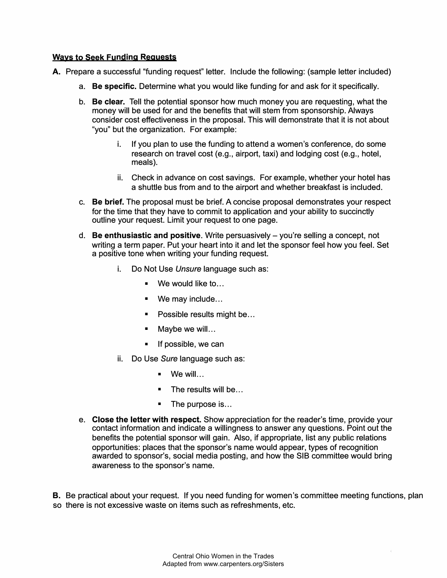### **Ways to Seek Funding Requests**

- A. Prepare a successful "funding request" letter. Include the following: (sample letter included)
	- a. **Be specific.** Determine what you would like funding for and ask for it specifically.
	- b. **Be clear.** Tell the potential sponsor how much money you are requesting, what the money will be used for and the benefits that will stem from sponsorship. Always consider cost effectiveness in the proposal. This will demonstrate that it is not about "you" but the organization. For example:
		- If you plan to use the funding to attend a women's conference, do some research on travel cost (e.g., airport, taxi) and lodging cost (e.g., hotel, meals).
		- ii. Check in advance on cost savings. For example, whether your hotel has a shuttle bus from and to the airport and whether breakfast is included.
	- c. **Be brief.** The proposal must be brief. A concise proposal demonstrates your respect for the time that they have to commit to application and your ability to succinctly outline your request. Limit your request to one page.
	- d. **Be enthusiastic and positive.** Write persuasively you're selling a concept, not writing a term paper. Put your heart into it and let the sponsor feel how you feel. Set a positive tone when writing your funding request.
		- i. Do Not Use *Unsure* language such as:
			- $\blacksquare$  We would like to...
			- We may include...
			- Possible results might be...
			- Maybe we will...
			- If possible, we can
		- ii. Do Use *Sure* language such as:
			- We will...
			- The results will be...
			- The purpose is...
	- e. **Close the letter with respect.** Show appreciation for the reader's time, provide your contact information and indicate a willingness to answer any questions. Point out the benefits the potential sponsor will gain. Also, if appropriate, list any public relations opportunities: places that the sponsor's name would appear, types of recognition awarded to sponsor's, social media posting, and how the SIB committee would bring awareness to the sponsor's name.

B. Be practical about your request. If you need funding for women's committee meeting functions, plan so there is not excessive waste on items such as refreshments, etc.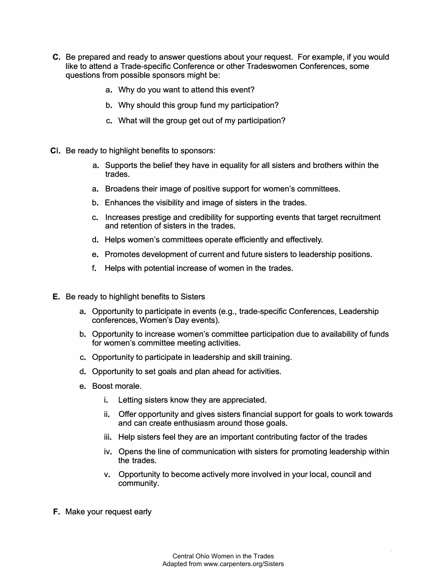- C. Be prepared and ready to answer questions about your request. For example, if you would like to attend a Trade-specific Conference or other Tradeswomen Conferences, some questions from possible sponsors might be:
	- a. Why do you want to attend this event?
	- b. Why should this group fund my participation?
	- c. What will the group get out of my participation?
- CI. Be ready to highlight benefits to sponsors:
	- a. Supports the belief they have in equality for all sisters and brothers within the trades.
	- a. Broadens their image of positive support for women's committees.
	- b. Enhances the visibility and image of sisters in the trades.
	- c. Increases prestige and credibility for supporting events that target recruitment and retention of sisters in the trades.
	- d. Helps women's committees operate efficiently and effectively.
	- e. Promotes development of current and future sisters to leadership positions.
	- f. Helps with potential increase of women in the trades.
- E. Be ready to highlight benefits to Sisters
	- a. Opportunity to participate in events (e.g., trade-specific Conferences, Leadership conferences, Women's Day events).
	- b. Opportunity to increase women's committee participation due to availability of funds for women's committee meeting activities.
	- c. Opportunity to participate in leadership and skill training.
	- d. Opportunity to set goals and plan ahead for activities.
	- e. Boost morale.
		- i. Letting sisters know they are appreciated.
		- ii. Offer opportunity and gives sisters financial support for goals to work towards and can create enthusiasm around those goals.
		- iii. Help sisters feel they are an important contributing factor of the trades
		- iv. Opens the line of communication with sisters for promoting leadership within the trades.
		- v. Opportunity to become actively more involved in your local, council and community.
- F. Make your request early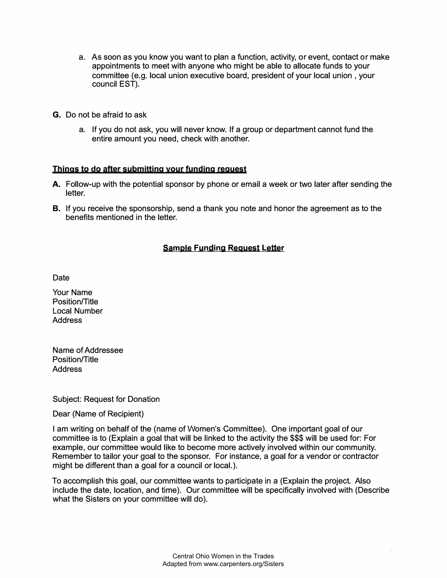- a. As soon as you know you want to plan a function, activity, or event, contact or make appointments to meet with anyone who might be able to allocate funds to your committee (e.g. local union executive board, president of your local union , your council EST).
- G. Do not be afraid to ask
	- a. If you do not ask, you will never know. If a group or department cannot fund the entire amount you need, check with another.

#### **Things to do after submitting your funding request**

- A. Follow-up with the potential sponsor by phone or email a week or two later after sending the letter.
- B. If you receive the sponsorship, send a thank you note and honor the agreement as to the benefits mentioned in the letter.

# **Sample Funding Request Letter**

Date

Your Name Position/Title Local Number **Address** 

Name of Addressee Position/Title **Address** 

Subject: Request for Donation

Dear (Name of Recipient)

I am writing on behalf of the (name of Women's Committee). One important goal of our committee is to (Explain a goal that will be linked to the activity the \$\$\$ will be used for: For example, our committee would like to become more actively involved within our community. Remember to tailor your goal to the sponsor. For instance, a goal for a vendor or contractor might be different than a goal for a council or local.).

To accomplish this goal, our committee wants to participate in a (Explain the project. Also include the date, location, and time). Our committee will be specifically involved with (Describe what the Sisters on your committee will do).